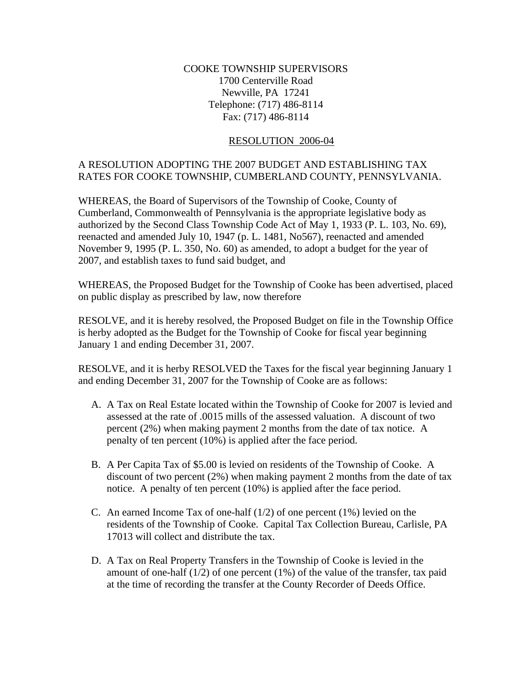## COOKE TOWNSHIP SUPERVISORS 1700 Centerville Road Newville, PA 17241 Telephone: (717) 486-8114 Fax: (717) 486-8114

## RESOLUTION 2006-04

## A RESOLUTION ADOPTING THE 2007 BUDGET AND ESTABLISHING TAX RATES FOR COOKE TOWNSHIP, CUMBERLAND COUNTY, PENNSYLVANIA.

WHEREAS, the Board of Supervisors of the Township of Cooke, County of Cumberland, Commonwealth of Pennsylvania is the appropriate legislative body as authorized by the Second Class Township Code Act of May 1, 1933 (P. L. 103, No. 69), reenacted and amended July 10, 1947 (p. L. 1481, No567), reenacted and amended November 9, 1995 (P. L. 350, No. 60) as amended, to adopt a budget for the year of 2007, and establish taxes to fund said budget, and

WHEREAS, the Proposed Budget for the Township of Cooke has been advertised, placed on public display as prescribed by law, now therefore

RESOLVE, and it is hereby resolved, the Proposed Budget on file in the Township Office is herby adopted as the Budget for the Township of Cooke for fiscal year beginning January 1 and ending December 31, 2007.

RESOLVE, and it is herby RESOLVED the Taxes for the fiscal year beginning January 1 and ending December 31, 2007 for the Township of Cooke are as follows:

- A. A Tax on Real Estate located within the Township of Cooke for 2007 is levied and assessed at the rate of .0015 mills of the assessed valuation. A discount of two percent (2%) when making payment 2 months from the date of tax notice. A penalty of ten percent (10%) is applied after the face period.
- B. A Per Capita Tax of \$5.00 is levied on residents of the Township of Cooke. A discount of two percent (2%) when making payment 2 months from the date of tax notice. A penalty of ten percent (10%) is applied after the face period.
- C. An earned Income Tax of one-half  $(1/2)$  of one percent  $(1%)$  levied on the residents of the Township of Cooke. Capital Tax Collection Bureau, Carlisle, PA 17013 will collect and distribute the tax.
- D. A Tax on Real Property Transfers in the Township of Cooke is levied in the amount of one-half  $(1/2)$  of one percent  $(1%)$  of the value of the transfer, tax paid at the time of recording the transfer at the County Recorder of Deeds Office.